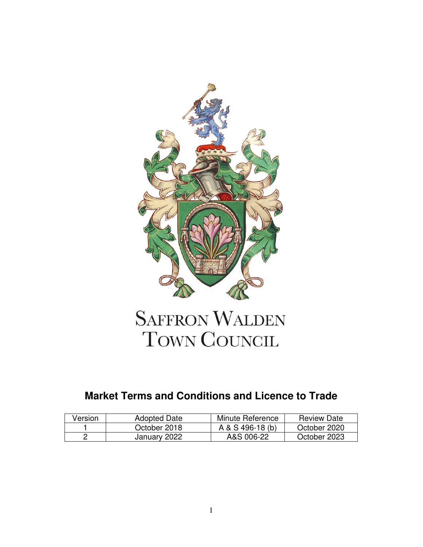

# **Market Terms and Conditions and Licence to Trade**

| Version | Adopted Date | Minute Reference | <b>Review Date</b> |
|---------|--------------|------------------|--------------------|
|         | October 2018 | A & S 496-18 (b) | October 2020       |
|         | January 2022 | A&S 006-22       | October 2023       |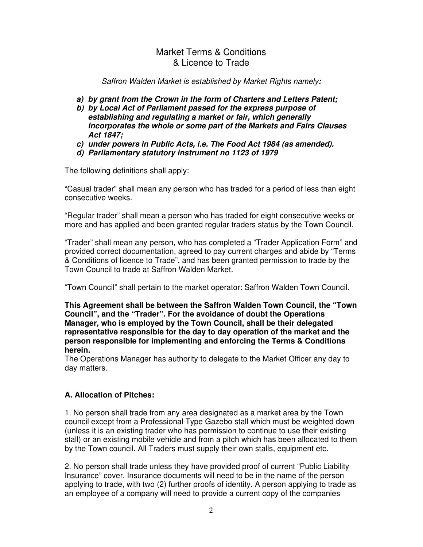# Market Terms & Conditions & Licence to Trade

### Saffron Walden Market is established by Market Rights namely*:*

- *a) by grant from the Crown in the form of Charters and Letters Patent;*
- *b) by Local Act of Parliament passed for the express purpose of establishing and regulating a market or fair, which generally incorporates the whole or some part of the Markets and Fairs Clauses Act 1847;*
- *c) under powers in Public Acts, i.e. The Food Act 1984 (as amended).*
- *d) Parliamentary statutory instrument no 1123 of 1979*

The following definitions shall apply:

"Casual trader" shall mean any person who has traded for a period of less than eight consecutive weeks.

"Regular trader" shall mean a person who has traded for eight consecutive weeks or more and has applied and been granted regular traders status by the Town Council.

"Trader" shall mean any person, who has completed a "Trader Application Form" and provided correct documentation, agreed to pay current charges and abide by "Terms & Conditions of licence to Trade", and has been granted permission to trade by the Town Council to trade at Saffron Walden Market.

"Town Council" shall pertain to the market operator: Saffron Walden Town Council.

**This Agreement shall be between the Saffron Walden Town Council, the "Town Council", and the "Trader". For the avoidance of doubt the Operations Manager, who is employed by the Town Council, shall be their delegated representative responsible for the day to day operation of the market and the person responsible for implementing and enforcing the Terms & Conditions herein***.* 

The Operations Manager has authority to delegate to the Market Officer any day to day matters.

# **A. Allocation of Pitches:**

1. No person shall trade from any area designated as a market area by the Town council except from a Professional Type Gazebo stall which must be weighted down (unless it is an existing trader who has permission to continue to use their existing stall) or an existing mobile vehicle and from a pitch which has been allocated to them by the Town council. All Traders must supply their own stalls, equipment etc.

2. No person shall trade unless they have provided proof of current "Public Liability Insurance" cover. Insurance documents will need to be in the name of the person applying to trade, with two (2) further proofs of identity. A person applying to trade as an employee of a company will need to provide a current copy of the companies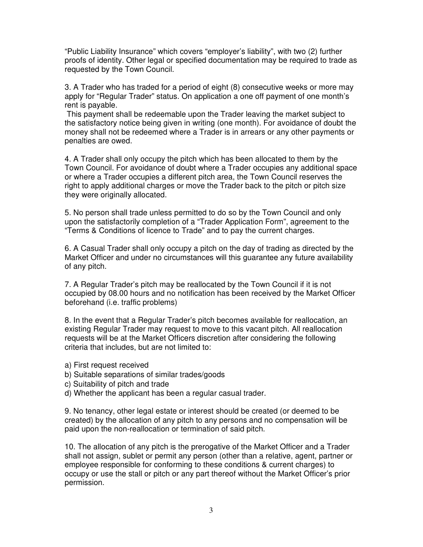"Public Liability Insurance" which covers "employer's liability", with two (2) further proofs of identity. Other legal or specified documentation may be required to trade as requested by the Town Council.

3. A Trader who has traded for a period of eight (8) consecutive weeks or more may apply for "Regular Trader" status. On application a one off payment of one month's rent is payable.

 This payment shall be redeemable upon the Trader leaving the market subject to the satisfactory notice being given in writing (one month). For avoidance of doubt the money shall not be redeemed where a Trader is in arrears or any other payments or penalties are owed.

4. A Trader shall only occupy the pitch which has been allocated to them by the Town Council. For avoidance of doubt where a Trader occupies any additional space or where a Trader occupies a different pitch area, the Town Council reserves the right to apply additional charges or move the Trader back to the pitch or pitch size they were originally allocated.

5. No person shall trade unless permitted to do so by the Town Council and only upon the satisfactorily completion of a "Trader Application Form", agreement to the "Terms & Conditions of licence to Trade" and to pay the current charges.

6. A Casual Trader shall only occupy a pitch on the day of trading as directed by the Market Officer and under no circumstances will this guarantee any future availability of any pitch.

7. A Regular Trader's pitch may be reallocated by the Town Council if it is not occupied by 08.00 hours and no notification has been received by the Market Officer beforehand (i.e. traffic problems)

8. In the event that a Regular Trader's pitch becomes available for reallocation, an existing Regular Trader may request to move to this vacant pitch. All reallocation requests will be at the Market Officers discretion after considering the following criteria that includes, but are not limited to:

- a) First request received
- b) Suitable separations of similar trades/goods
- c) Suitability of pitch and trade
- d) Whether the applicant has been a regular casual trader.

9. No tenancy, other legal estate or interest should be created (or deemed to be created) by the allocation of any pitch to any persons and no compensation will be paid upon the non-reallocation or termination of said pitch.

10. The allocation of any pitch is the prerogative of the Market Officer and a Trader shall not assign, sublet or permit any person (other than a relative, agent, partner or employee responsible for conforming to these conditions & current charges) to occupy or use the stall or pitch or any part thereof without the Market Officer's prior permission.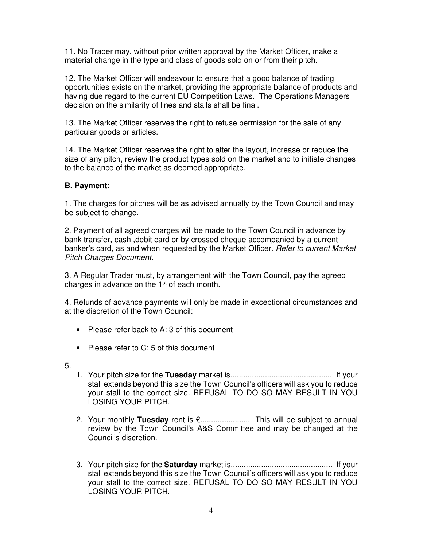11. No Trader may, without prior written approval by the Market Officer, make a material change in the type and class of goods sold on or from their pitch.

12. The Market Officer will endeavour to ensure that a good balance of trading opportunities exists on the market, providing the appropriate balance of products and having due regard to the current EU Competition Laws. The Operations Managers decision on the similarity of lines and stalls shall be final.

13. The Market Officer reserves the right to refuse permission for the sale of any particular goods or articles.

14. The Market Officer reserves the right to alter the layout, increase or reduce the size of any pitch, review the product types sold on the market and to initiate changes to the balance of the market as deemed appropriate.

# **B. Payment:**

1. The charges for pitches will be as advised annually by the Town Council and may be subject to change.

2. Payment of all agreed charges will be made to the Town Council in advance by bank transfer, cash ,debit card or by crossed cheque accompanied by a current banker's card, as and when requested by the Market Officer. Refer to current Market Pitch Charges Document.

3. A Regular Trader must, by arrangement with the Town Council, pay the agreed charges in advance on the 1<sup>st</sup> of each month.

4. Refunds of advance payments will only be made in exceptional circumstances and at the discretion of the Town Council:

- Please refer back to A: 3 of this document
- Please refer to C: 5 of this document

5.

- 1. Your pitch size for the **Tuesday** market is............................................... If your stall extends beyond this size the Town Council's officers will ask you to reduce your stall to the correct size. REFUSAL TO DO SO MAY RESULT IN YOU LOSING YOUR PITCH.
- 2. Your monthly **Tuesday** rent is £....................... This will be subject to annual review by the Town Council's A&S Committee and may be changed at the Council's discretion.
- 3. Your pitch size for the **Saturday** market is............................................... If your stall extends beyond this size the Town Council's officers will ask you to reduce your stall to the correct size. REFUSAL TO DO SO MAY RESULT IN YOU LOSING YOUR PITCH.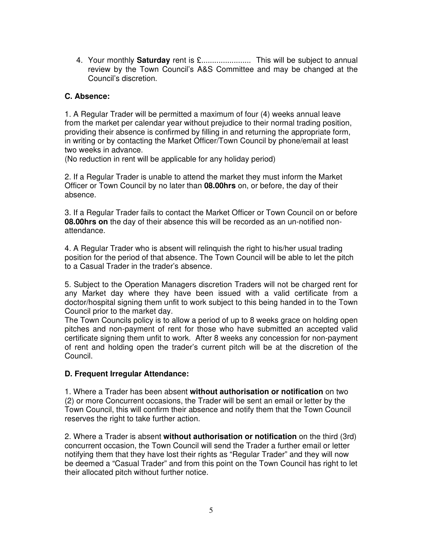4. Your monthly **Saturday** rent is £....................... This will be subject to annual review by the Town Council's A&S Committee and may be changed at the Council's discretion.

### **C. Absence:**

1. A Regular Trader will be permitted a maximum of four (4) weeks annual leave from the market per calendar year without prejudice to their normal trading position, providing their absence is confirmed by filling in and returning the appropriate form, in writing or by contacting the Market Officer/Town Council by phone/email at least two weeks in advance.

(No reduction in rent will be applicable for any holiday period)

2. If a Regular Trader is unable to attend the market they must inform the Market Officer or Town Council by no later than **08.00hrs** on, or before, the day of their absence.

3. If a Regular Trader fails to contact the Market Officer or Town Council on or before **08.00hrs on** the day of their absence this will be recorded as an un-notified nonattendance.

4. A Regular Trader who is absent will relinquish the right to his/her usual trading position for the period of that absence. The Town Council will be able to let the pitch to a Casual Trader in the trader's absence.

5. Subject to the Operation Managers discretion Traders will not be charged rent for any Market day where they have been issued with a valid certificate from a doctor/hospital signing them unfit to work subject to this being handed in to the Town Council prior to the market day.

The Town Councils policy is to allow a period of up to 8 weeks grace on holding open pitches and non-payment of rent for those who have submitted an accepted valid certificate signing them unfit to work. After 8 weeks any concession for non-payment of rent and holding open the trader's current pitch will be at the discretion of the Council.

#### **D. Frequent Irregular Attendance:**

1. Where a Trader has been absent **without authorisation or notification** on two (2) or more Concurrent occasions, the Trader will be sent an email or letter by the Town Council, this will confirm their absence and notify them that the Town Council reserves the right to take further action.

2. Where a Trader is absent **without authorisation or notification** on the third (3rd) concurrent occasion, the Town Council will send the Trader a further email or letter notifying them that they have lost their rights as "Regular Trader" and they will now be deemed a "Casual Trader" and from this point on the Town Council has right to let their allocated pitch without further notice.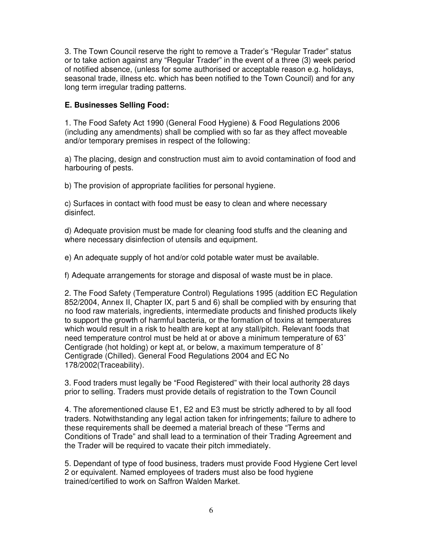3. The Town Council reserve the right to remove a Trader's "Regular Trader" status or to take action against any "Regular Trader" in the event of a three (3) week period of notified absence, (unless for some authorised or acceptable reason e.g. holidays, seasonal trade, illness etc. which has been notified to the Town Council) and for any long term irregular trading patterns.

# **E. Businesses Selling Food:**

1. The Food Safety Act 1990 (General Food Hygiene) & Food Regulations 2006 (including any amendments) shall be complied with so far as they affect moveable and/or temporary premises in respect of the following:

a) The placing, design and construction must aim to avoid contamination of food and harbouring of pests.

b) The provision of appropriate facilities for personal hygiene.

c) Surfaces in contact with food must be easy to clean and where necessary disinfect.

d) Adequate provision must be made for cleaning food stuffs and the cleaning and where necessary disinfection of utensils and equipment.

e) An adequate supply of hot and/or cold potable water must be available.

f) Adequate arrangements for storage and disposal of waste must be in place.

2. The Food Safety (Temperature Control) Regulations 1995 (addition EC Regulation 852/2004, Annex II, Chapter IX, part 5 and 6) shall be complied with by ensuring that no food raw materials, ingredients, intermediate products and finished products likely to support the growth of harmful bacteria, or the formation of toxins at temperatures which would result in a risk to health are kept at any stall/pitch. Relevant foods that need temperature control must be held at or above a minimum temperature of 63˚ Centigrade (hot holding) or kept at, or below, a maximum temperature of 8˚ Centigrade (Chilled). General Food Regulations 2004 and EC No 178/2002(Traceability).

3. Food traders must legally be "Food Registered" with their local authority 28 days prior to selling. Traders must provide details of registration to the Town Council

4. The aforementioned clause E1, E2 and E3 must be strictly adhered to by all food traders. Notwithstanding any legal action taken for infringements; failure to adhere to these requirements shall be deemed a material breach of these "Terms and Conditions of Trade" and shall lead to a termination of their Trading Agreement and the Trader will be required to vacate their pitch immediately.

5. Dependant of type of food business, traders must provide Food Hygiene Cert level 2 or equivalent. Named employees of traders must also be food hygiene trained/certified to work on Saffron Walden Market.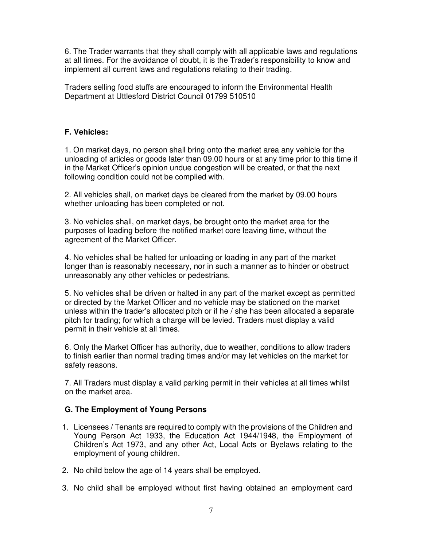6. The Trader warrants that they shall comply with all applicable laws and regulations at all times. For the avoidance of doubt, it is the Trader's responsibility to know and implement all current laws and regulations relating to their trading.

Traders selling food stuffs are encouraged to inform the Environmental Health Department at Uttlesford District Council 01799 510510

# **F. Vehicles:**

1. On market days, no person shall bring onto the market area any vehicle for the unloading of articles or goods later than 09.00 hours or at any time prior to this time if in the Market Officer's opinion undue congestion will be created, or that the next following condition could not be complied with.

2. All vehicles shall, on market days be cleared from the market by 09.00 hours whether unloading has been completed or not.

3. No vehicles shall, on market days, be brought onto the market area for the purposes of loading before the notified market core leaving time, without the agreement of the Market Officer.

4. No vehicles shall be halted for unloading or loading in any part of the market longer than is reasonably necessary, nor in such a manner as to hinder or obstruct unreasonably any other vehicles or pedestrians.

5. No vehicles shall be driven or halted in any part of the market except as permitted or directed by the Market Officer and no vehicle may be stationed on the market unless within the trader's allocated pitch or if he / she has been allocated a separate pitch for trading; for which a charge will be levied. Traders must display a valid permit in their vehicle at all times.

6. Only the Market Officer has authority, due to weather, conditions to allow traders to finish earlier than normal trading times and/or may let vehicles on the market for safety reasons.

7. All Traders must display a valid parking permit in their vehicles at all times whilst on the market area.

# **G. The Employment of Young Persons**

- 1. Licensees / Tenants are required to comply with the provisions of the Children and Young Person Act 1933, the Education Act 1944/1948, the Employment of Children's Act 1973, and any other Act, Local Acts or Byelaws relating to the employment of young children.
- 2. No child below the age of 14 years shall be employed.
- 3. No child shall be employed without first having obtained an employment card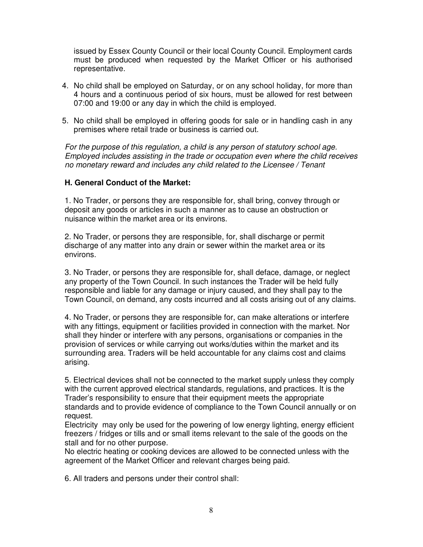issued by Essex County Council or their local County Council. Employment cards must be produced when requested by the Market Officer or his authorised representative.

- 4. No child shall be employed on Saturday, or on any school holiday, for more than 4 hours and a continuous period of six hours, must be allowed for rest between 07:00 and 19:00 or any day in which the child is employed.
- 5. No child shall be employed in offering goods for sale or in handling cash in any premises where retail trade or business is carried out.

For the purpose of this regulation, a child is any person of statutory school age. Employed includes assisting in the trade or occupation even where the child receives no monetary reward and includes any child related to the Licensee / Tenant

#### **H. General Conduct of the Market:**

1. No Trader, or persons they are responsible for, shall bring, convey through or deposit any goods or articles in such a manner as to cause an obstruction or nuisance within the market area or its environs.

2. No Trader, or persons they are responsible, for, shall discharge or permit discharge of any matter into any drain or sewer within the market area or its environs.

3. No Trader, or persons they are responsible for, shall deface, damage, or neglect any property of the Town Council. In such instances the Trader will be held fully responsible and liable for any damage or injury caused, and they shall pay to the Town Council, on demand, any costs incurred and all costs arising out of any claims.

4. No Trader, or persons they are responsible for, can make alterations or interfere with any fittings, equipment or facilities provided in connection with the market. Nor shall they hinder or interfere with any persons, organisations or companies in the provision of services or while carrying out works/duties within the market and its surrounding area. Traders will be held accountable for any claims cost and claims arising.

5. Electrical devices shall not be connected to the market supply unless they comply with the current approved electrical standards, regulations, and practices. It is the Trader's responsibility to ensure that their equipment meets the appropriate standards and to provide evidence of compliance to the Town Council annually or on request.

Electricity may only be used for the powering of low energy lighting, energy efficient freezers / fridges or tills and or small items relevant to the sale of the goods on the stall and for no other purpose.

No electric heating or cooking devices are allowed to be connected unless with the agreement of the Market Officer and relevant charges being paid.

6. All traders and persons under their control shall: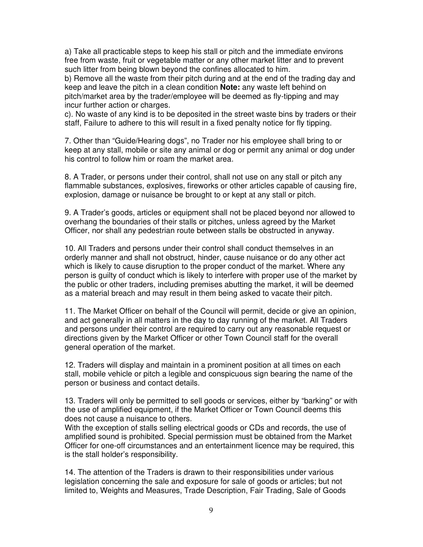a) Take all practicable steps to keep his stall or pitch and the immediate environs free from waste, fruit or vegetable matter or any other market litter and to prevent such litter from being blown beyond the confines allocated to him.

b) Remove all the waste from their pitch during and at the end of the trading day and keep and leave the pitch in a clean condition **Note:** any waste left behind on pitch/market area by the trader/employee will be deemed as fly-tipping and may incur further action or charges.

c). No waste of any kind is to be deposited in the street waste bins by traders or their staff, Failure to adhere to this will result in a fixed penalty notice for fly tipping.

7. Other than "Guide/Hearing dogs", no Trader nor his employee shall bring to or keep at any stall, mobile or site any animal or dog or permit any animal or dog under his control to follow him or roam the market area.

8. A Trader, or persons under their control, shall not use on any stall or pitch any flammable substances, explosives, fireworks or other articles capable of causing fire, explosion, damage or nuisance be brought to or kept at any stall or pitch.

9. A Trader's goods, articles or equipment shall not be placed beyond nor allowed to overhang the boundaries of their stalls or pitches, unless agreed by the Market Officer, nor shall any pedestrian route between stalls be obstructed in anyway.

10. All Traders and persons under their control shall conduct themselves in an orderly manner and shall not obstruct, hinder, cause nuisance or do any other act which is likely to cause disruption to the proper conduct of the market. Where any person is guilty of conduct which is likely to interfere with proper use of the market by the public or other traders, including premises abutting the market, it will be deemed as a material breach and may result in them being asked to vacate their pitch.

11. The Market Officer on behalf of the Council will permit, decide or give an opinion, and act generally in all matters in the day to day running of the market. All Traders and persons under their control are required to carry out any reasonable request or directions given by the Market Officer or other Town Council staff for the overall general operation of the market.

12. Traders will display and maintain in a prominent position at all times on each stall, mobile vehicle or pitch a legible and conspicuous sign bearing the name of the person or business and contact details.

13. Traders will only be permitted to sell goods or services, either by "barking" or with the use of amplified equipment, if the Market Officer or Town Council deems this does not cause a nuisance to others.

With the exception of stalls selling electrical goods or CDs and records, the use of amplified sound is prohibited. Special permission must be obtained from the Market Officer for one-off circumstances and an entertainment licence may be required, this is the stall holder's responsibility.

14. The attention of the Traders is drawn to their responsibilities under various legislation concerning the sale and exposure for sale of goods or articles; but not limited to, Weights and Measures, Trade Description, Fair Trading, Sale of Goods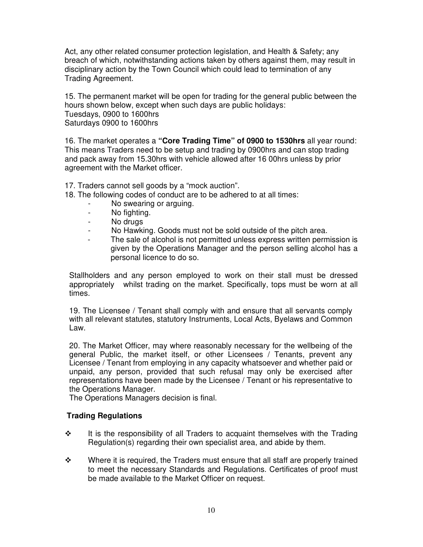Act, any other related consumer protection legislation, and Health & Safety; any breach of which, notwithstanding actions taken by others against them, may result in disciplinary action by the Town Council which could lead to termination of any Trading Agreement.

15. The permanent market will be open for trading for the general public between the hours shown below, except when such days are public holidays: Tuesdays, 0900 to 1600hrs Saturdays 0900 to 1600hrs

16. The market operates a **"Core Trading Time" of 0900 to 1530hrs** all year round: This means Traders need to be setup and trading by 0900hrs and can stop trading and pack away from 15.30hrs with vehicle allowed after 16 00hrs unless by prior agreement with the Market officer.

17. Traders cannot sell goods by a "mock auction".

18. The following codes of conduct are to be adhered to at all times:

- No swearing or arguing.
- No fighting.
- No drugs
- No Hawking. Goods must not be sold outside of the pitch area.
- The sale of alcohol is not permitted unless express written permission is given by the Operations Manager and the person selling alcohol has a personal licence to do so.

Stallholders and any person employed to work on their stall must be dressed appropriately whilst trading on the market. Specifically, tops must be worn at all times.

19. The Licensee / Tenant shall comply with and ensure that all servants comply with all relevant statutes, statutory Instruments, Local Acts, Byelaws and Common Law.

20. The Market Officer, may where reasonably necessary for the wellbeing of the general Public, the market itself, or other Licensees / Tenants, prevent any Licensee / Tenant from employing in any capacity whatsoever and whether paid or unpaid, any person, provided that such refusal may only be exercised after representations have been made by the Licensee / Tenant or his representative to the Operations Manager.

The Operations Managers decision is final.

#### **Trading Regulations**

- $\div$  It is the responsibility of all Traders to acquaint themselves with the Trading Regulation(s) regarding their own specialist area, and abide by them.
- $\cdot \cdot$  Where it is required, the Traders must ensure that all staff are properly trained to meet the necessary Standards and Regulations. Certificates of proof must be made available to the Market Officer on request.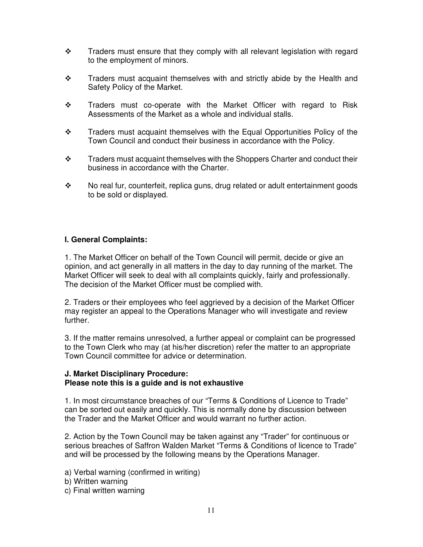- $\cdot \cdot$  Traders must ensure that they comply with all relevant legislation with regard to the employment of minors.
- $\cdot \cdot$  Traders must acquaint themselves with and strictly abide by the Health and Safety Policy of the Market.
- $\div$  Traders must co-operate with the Market Officer with regard to Risk Assessments of the Market as a whole and individual stalls.
- $\div$  Traders must acquaint themselves with the Equal Opportunities Policy of the Town Council and conduct their business in accordance with the Policy.
- $\cdot \cdot$  Traders must acquaint themselves with the Shoppers Charter and conduct their business in accordance with the Charter.
- $\cdot \cdot$  No real fur, counterfeit, replica guns, drug related or adult entertainment goods to be sold or displayed.

# **I. General Complaints:**

1. The Market Officer on behalf of the Town Council will permit, decide or give an opinion, and act generally in all matters in the day to day running of the market. The Market Officer will seek to deal with all complaints quickly, fairly and professionally. The decision of the Market Officer must be complied with.

2. Traders or their employees who feel aggrieved by a decision of the Market Officer may register an appeal to the Operations Manager who will investigate and review further.

3. If the matter remains unresolved, a further appeal or complaint can be progressed to the Town Clerk who may (at his/her discretion) refer the matter to an appropriate Town Council committee for advice or determination.

#### **J. Market Disciplinary Procedure: Please note this is a guide and is not exhaustive**

1. In most circumstance breaches of our "Terms & Conditions of Licence to Trade" can be sorted out easily and quickly. This is normally done by discussion between the Trader and the Market Officer and would warrant no further action.

2. Action by the Town Council may be taken against any "Trader" for continuous or serious breaches of Saffron Walden Market "Terms & Conditions of licence to Trade" and will be processed by the following means by the Operations Manager.

a) Verbal warning (confirmed in writing)

b) Written warning

c) Final written warning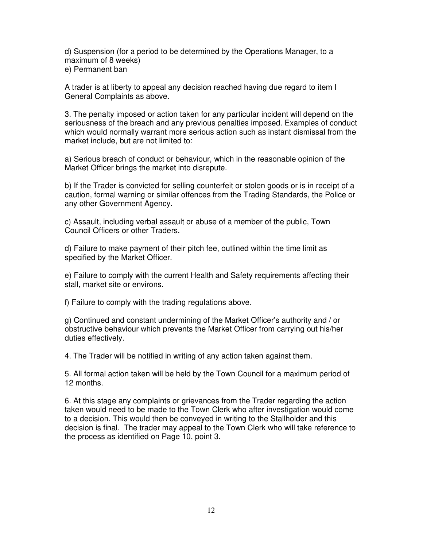d) Suspension (for a period to be determined by the Operations Manager, to a maximum of 8 weeks) e) Permanent ban

A trader is at liberty to appeal any decision reached having due regard to item I General Complaints as above.

3. The penalty imposed or action taken for any particular incident will depend on the seriousness of the breach and any previous penalties imposed. Examples of conduct which would normally warrant more serious action such as instant dismissal from the market include, but are not limited to:

a) Serious breach of conduct or behaviour, which in the reasonable opinion of the Market Officer brings the market into disrepute.

b) If the Trader is convicted for selling counterfeit or stolen goods or is in receipt of a caution, formal warning or similar offences from the Trading Standards, the Police or any other Government Agency.

c) Assault, including verbal assault or abuse of a member of the public, Town Council Officers or other Traders.

d) Failure to make payment of their pitch fee, outlined within the time limit as specified by the Market Officer.

e) Failure to comply with the current Health and Safety requirements affecting their stall, market site or environs.

f) Failure to comply with the trading regulations above.

g) Continued and constant undermining of the Market Officer's authority and / or obstructive behaviour which prevents the Market Officer from carrying out his/her duties effectively.

4. The Trader will be notified in writing of any action taken against them.

5. All formal action taken will be held by the Town Council for a maximum period of 12 months.

6. At this stage any complaints or grievances from the Trader regarding the action taken would need to be made to the Town Clerk who after investigation would come to a decision. This would then be conveyed in writing to the Stallholder and this decision is final. The trader may appeal to the Town Clerk who will take reference to the process as identified on Page 10, point 3.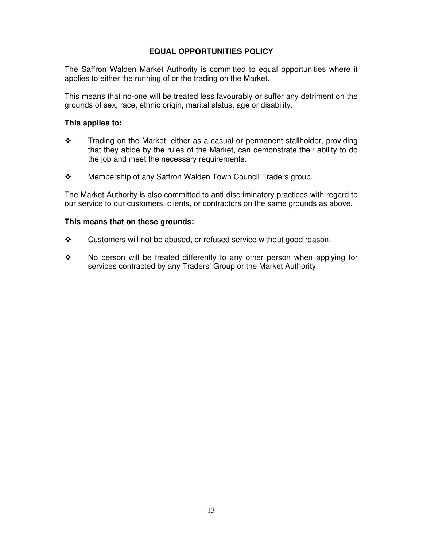# **EQUAL OPPORTUNITIES POLICY**

The Saffron Walden Market Authority is committed to equal opportunities where it applies to either the running of or the trading on the Market.

This means that no-one will be treated less favourably or suffer any detriment on the grounds of sex, race, ethnic origin, marital status, age or disability.

#### **This applies to:**

- \* Trading on the Market, either as a casual or permanent stallholder, providing that they abide by the rules of the Market, can demonstrate their ability to do the job and meet the necessary requirements.
- Membership of any Saffron Walden Town Council Traders group.

The Market Authority is also committed to anti-discriminatory practices with regard to our service to our customers, clients, or contractors on the same grounds as above.

#### **This means that on these grounds:**

- Customers will not be abused, or refused service without good reason.
- \* No person will be treated differently to any other person when applying for services contracted by any Traders' Group or the Market Authority.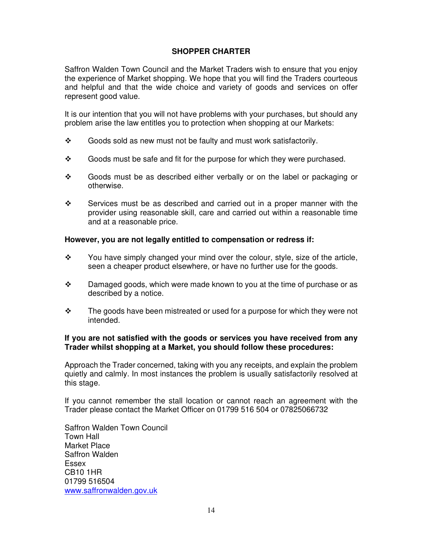# **SHOPPER CHARTER**

Saffron Walden Town Council and the Market Traders wish to ensure that you enjoy the experience of Market shopping. We hope that you will find the Traders courteous and helpful and that the wide choice and variety of goods and services on offer represent good value.

It is our intention that you will not have problems with your purchases, but should any problem arise the law entitles you to protection when shopping at our Markets:

- $\div$  Goods sold as new must not be faulty and must work satisfactorily.
- $\div$  Goods must be safe and fit for the purpose for which they were purchased.
- Goods must be as described either verbally or on the label or packaging or otherwise.
- $\cdot \cdot$  Services must be as described and carried out in a proper manner with the provider using reasonable skill, care and carried out within a reasonable time and at a reasonable price.

#### **However, you are not legally entitled to compensation or redress if:**

- $\div$  You have simply changed your mind over the colour, style, size of the article, seen a cheaper product elsewhere, or have no further use for the goods.
- $\cdot \cdot$  Damaged goods, which were made known to you at the time of purchase or as described by a notice.
- $\cdot \cdot$  The goods have been mistreated or used for a purpose for which they were not intended.

#### **If you are not satisfied with the goods or services you have received from any Trader whilst shopping at a Market, you should follow these procedures:**

Approach the Trader concerned, taking with you any receipts, and explain the problem quietly and calmly. In most instances the problem is usually satisfactorily resolved at this stage.

If you cannot remember the stall location or cannot reach an agreement with the Trader please contact the Market Officer on 01799 516 504 or 07825066732

Saffron Walden Town Council Town Hall Market Place Saffron Walden Essex CB10 1HR 01799 516504 www.saffronwalden.gov.uk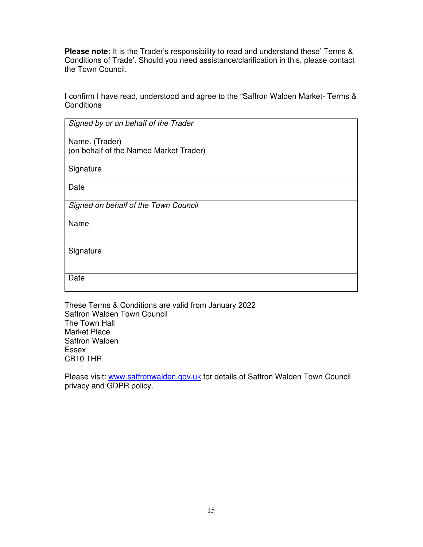**Please note:** It is the Trader's responsibility to read and understand these' Terms & Conditions of Trade'. Should you need assistance/clarification in this, please contact the Town Council.

**I** confirm I have read, understood and agree to the "Saffron Walden Market- Terms & **Conditions** 

| Signed by or on behalf of the Trader   |
|----------------------------------------|
| Name. (Trader)                         |
| (on behalf of the Named Market Trader) |
| Signature                              |
| Date                                   |
| Signed on behalf of the Town Council   |
| Name                                   |
| Signature                              |
| Date                                   |

These Terms & Conditions are valid from January 2022 Saffron Walden Town Council The Town Hall Market Place Saffron Walden Essex CB10 1HR

Please visit: www.saffronwalden.gov.uk for details of Saffron Walden Town Council privacy and GDPR policy.